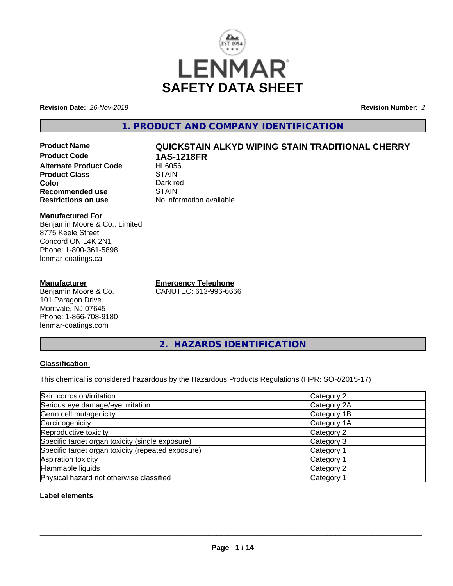

**Revision Date:** *26-Nov-2019* **Revision Number:** *2*

# **1. PRODUCT AND COMPANY IDENTIFICATION**

**Product Name QUICKSTAIN ALKYD WIPING STAIN TRADITIONAL CHERRY Product Code 1AS-1218FR Alternate Product Code Product Class STAIN Color** Dark red<br> **Recommended use** STAIN **Recommended use**<br>Restrictions on use

#### **Manufactured For** Benjamin Moore & Co., Limited 8775 Keele Street Concord ON L4K 2N1 Phone: 1-800-361-5898 lenmar-coatings.ca

### **Manufacturer**

Benjamin Moore & Co. 101 Paragon Drive Montvale, NJ 07645 Phone: 1-866-708-9180 lenmar-coatings.com

**Emergency Telephone** CANUTEC: 613-996-6666

**No information available** 

**2. HAZARDS IDENTIFICATION**

### **Classification**

This chemical is considered hazardous by the Hazardous Products Regulations (HPR: SOR/2015-17)

| Skin corrosion/irritation                          | Category 2            |
|----------------------------------------------------|-----------------------|
| Serious eye damage/eye irritation                  | Category 2A           |
| Germ cell mutagenicity                             | Category 1B           |
| Carcinogenicity                                    | Category 1A           |
| Reproductive toxicity                              | Category 2            |
| Specific target organ toxicity (single exposure)   | Category 3            |
| Specific target organ toxicity (repeated exposure) | Category 1            |
| Aspiration toxicity                                | Category <sup>2</sup> |
| Flammable liquids                                  | Category 2            |
| Physical hazard not otherwise classified           | Category              |

### **Label elements**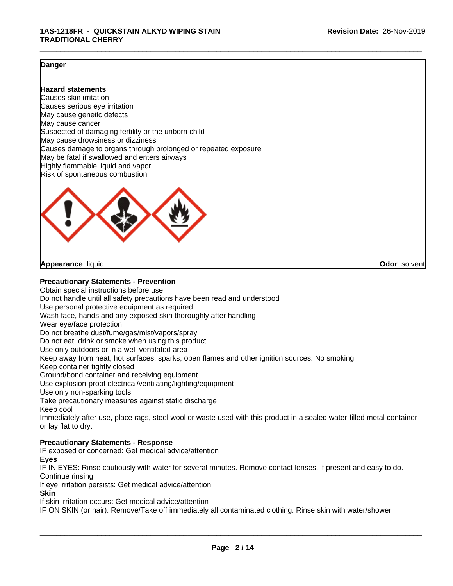#### **Danger**

#### **Hazard statements**

Causes skin irritation Causes serious eye irritation May cause genetic defects May cause cancer Suspected of damaging fertility or the unborn child May cause drowsiness or dizziness Causes damage to organs through prolonged or repeated exposure May be fatal if swallowed and enters airways Highly flammable liquid and vapor Risk of spontaneous combustion



**Appearance** liquid **Odor** solvent

#### **Precautionary Statements - Prevention**

Obtain special instructions before use Do not handle until all safety precautions have been read and understood Use personal protective equipment as required Wash face, hands and any exposed skin thoroughly after handling Wear eye/face protection Do not breathe dust/fume/gas/mist/vapors/spray Do not eat, drink or smoke when using this product Use only outdoors or in a well-ventilated area Keep away from heat, hot surfaces, sparks, open flames and other ignition sources. No smoking Keep container tightly closed Ground/bond container and receiving equipment Use explosion-proof electrical/ventilating/lighting/equipment Use only non-sparking tools Take precautionary measures against static discharge Keep cool Immediately after use, place rags, steel wool or waste used with this product in a sealed water-filled metal container or lay flat to dry. **Precautionary Statements - Response**

IF exposed or concerned: Get medical advice/attention

**Eyes**

IF IN EYES: Rinse cautiously with water for several minutes. Remove contact lenses, if present and easy to do. Continue rinsing

If eye irritation persists: Get medical advice/attention

**Skin**

If skin irritation occurs: Get medical advice/attention

IF ON SKIN (or hair): Remove/Take off immediately all contaminated clothing. Rinse skin with water/shower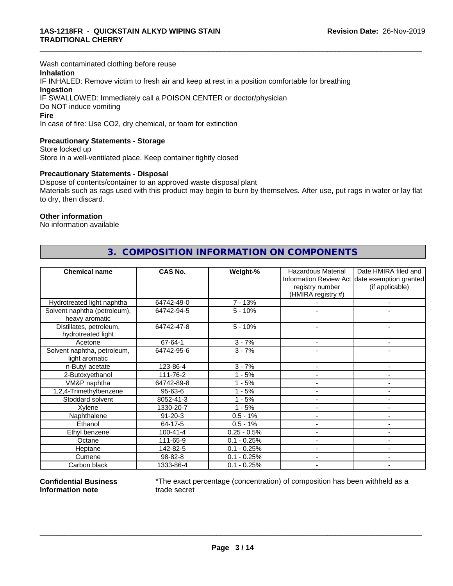Wash contaminated clothing before reuse

#### **Inhalation**

IF INHALED: Remove victim to fresh air and keep at rest in a position comfortable for breathing **Ingestion** IF SWALLOWED: Immediately call a POISON CENTER or doctor/physician Do NOT induce vomiting

#### **Fire**

In case of fire: Use CO2, dry chemical, or foam for extinction

#### **Precautionary Statements - Storage**

Store locked up Store in a well-ventilated place. Keep container tightly closed

#### **Precautionary Statements - Disposal**

Dispose of contents/container to an approved waste disposal plant Materials such as rags used with this product may begin to burn by themselves. After use, put rags in water or lay flat to dry, then discard.

\_\_\_\_\_\_\_\_\_\_\_\_\_\_\_\_\_\_\_\_\_\_\_\_\_\_\_\_\_\_\_\_\_\_\_\_\_\_\_\_\_\_\_\_\_\_\_\_\_\_\_\_\_\_\_\_\_\_\_\_\_\_\_\_\_\_\_\_\_\_\_\_\_\_\_\_\_\_\_\_\_\_\_\_\_\_\_\_\_\_\_\_\_

#### **Other information**

No information available

| <b>Chemical name</b>                           | <b>CAS No.</b> | Weight-%      | <b>Hazardous Material</b> | Date HMIRA filed and                          |
|------------------------------------------------|----------------|---------------|---------------------------|-----------------------------------------------|
|                                                |                |               |                           | Information Review Act date exemption granted |
|                                                |                |               | registry number           | (if applicable)                               |
|                                                |                |               | (HMIRA registry #)        |                                               |
| Hydrotreated light naphtha                     | 64742-49-0     | $7 - 13%$     |                           | $\overline{\phantom{a}}$                      |
| Solvent naphtha (petroleum),<br>heavy aromatic | 64742-94-5     | $5 - 10%$     |                           |                                               |
| Distillates, petroleum,<br>hydrotreated light  | 64742-47-8     | $5 - 10%$     |                           |                                               |
| Acetone                                        | 67-64-1        | $3 - 7%$      |                           | ۰                                             |
| Solvent naphtha, petroleum,<br>light aromatic  | 64742-95-6     | $3 - 7%$      |                           |                                               |
| n-Butyl acetate                                | 123-86-4       | $3 - 7%$      |                           | $\blacksquare$                                |
| 2-Butoxyethanol                                | 111-76-2       | $1 - 5%$      |                           |                                               |
| VM&P naphtha                                   | 64742-89-8     | $1 - 5%$      |                           | $\blacksquare$                                |
| 1,2,4-Trimethylbenzene                         | 95-63-6        | $1 - 5%$      |                           | $\blacksquare$                                |
| Stoddard solvent                               | 8052-41-3      | $1 - 5%$      |                           | $\blacksquare$                                |
| Xylene                                         | 1330-20-7      | $1 - 5%$      |                           | $\blacksquare$                                |
| Naphthalene                                    | $91 - 20 - 3$  | $0.5 - 1%$    |                           | $\blacksquare$                                |
| Ethanol                                        | 64-17-5        | $0.5 - 1%$    |                           | $\blacksquare$                                |
| Ethyl benzene                                  | $100 - 41 - 4$ | $0.25 - 0.5%$ | $\blacksquare$            | $\blacksquare$                                |
| Octane                                         | 111-65-9       | $0.1 - 0.25%$ |                           |                                               |
| Heptane                                        | 142-82-5       | $0.1 - 0.25%$ |                           | $\sim$                                        |
| Cumene                                         | 98-82-8        | $0.1 - 0.25%$ |                           | $\blacksquare$                                |
| Carbon black                                   | 1333-86-4      | $0.1 - 0.25%$ |                           | ٠                                             |

# **3. COMPOSITION INFORMATION ON COMPONENTS**

**Confidential Business Information note**

\*The exact percentage (concentration) of composition has been withheld as a trade secret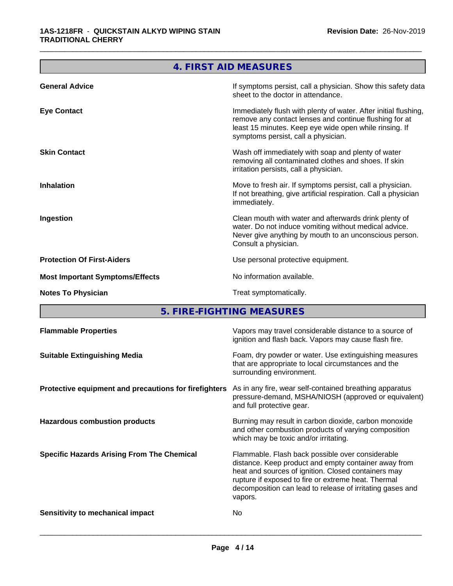|                                        | 4. FIRST AID MEASURES                                                                                                                                                                                                      |
|----------------------------------------|----------------------------------------------------------------------------------------------------------------------------------------------------------------------------------------------------------------------------|
| <b>General Advice</b>                  | If symptoms persist, call a physician. Show this safety data<br>sheet to the doctor in attendance.                                                                                                                         |
| <b>Eye Contact</b>                     | Immediately flush with plenty of water. After initial flushing,<br>remove any contact lenses and continue flushing for at<br>least 15 minutes. Keep eye wide open while rinsing. If<br>symptoms persist, call a physician. |
| <b>Skin Contact</b>                    | Wash off immediately with soap and plenty of water<br>removing all contaminated clothes and shoes. If skin<br>irritation persists, call a physician.                                                                       |
| <b>Inhalation</b>                      | Move to fresh air. If symptoms persist, call a physician.<br>If not breathing, give artificial respiration. Call a physician<br>immediately.                                                                               |
| Ingestion                              | Clean mouth with water and afterwards drink plenty of<br>water. Do not induce vomiting without medical advice.<br>Never give anything by mouth to an unconscious person.<br>Consult a physician.                           |
| <b>Protection Of First-Aiders</b>      | Use personal protective equipment.                                                                                                                                                                                         |
| <b>Most Important Symptoms/Effects</b> | No information available.                                                                                                                                                                                                  |
| <b>Notes To Physician</b>              | Treat symptomatically.                                                                                                                                                                                                     |
|                                        |                                                                                                                                                                                                                            |

**5. FIRE-FIGHTING MEASURES**

| Foam, dry powder or water. Use extinguishing measures<br><b>Suitable Extinguishing Media</b><br>that are appropriate to local circumstances and the<br>surrounding environment.<br>Protective equipment and precautions for firefighters<br>As in any fire, wear self-contained breathing apparatus<br>pressure-demand, MSHA/NIOSH (approved or equivalent)<br>and full protective gear.<br><b>Hazardous combustion products</b><br>Burning may result in carbon dioxide, carbon monoxide<br>and other combustion products of varying composition<br>which may be toxic and/or irritating.<br>Flammable. Flash back possible over considerable<br><b>Specific Hazards Arising From The Chemical</b><br>distance. Keep product and empty container away from<br>heat and sources of ignition. Closed containers may<br>rupture if exposed to fire or extreme heat. Thermal<br>decomposition can lead to release of irritating gases and<br>vapors.<br>No.<br>Sensitivity to mechanical impact | <b>Flammable Properties</b> | Vapors may travel considerable distance to a source of<br>ignition and flash back. Vapors may cause flash fire. |
|----------------------------------------------------------------------------------------------------------------------------------------------------------------------------------------------------------------------------------------------------------------------------------------------------------------------------------------------------------------------------------------------------------------------------------------------------------------------------------------------------------------------------------------------------------------------------------------------------------------------------------------------------------------------------------------------------------------------------------------------------------------------------------------------------------------------------------------------------------------------------------------------------------------------------------------------------------------------------------------------|-----------------------------|-----------------------------------------------------------------------------------------------------------------|
|                                                                                                                                                                                                                                                                                                                                                                                                                                                                                                                                                                                                                                                                                                                                                                                                                                                                                                                                                                                              |                             |                                                                                                                 |
|                                                                                                                                                                                                                                                                                                                                                                                                                                                                                                                                                                                                                                                                                                                                                                                                                                                                                                                                                                                              |                             |                                                                                                                 |
|                                                                                                                                                                                                                                                                                                                                                                                                                                                                                                                                                                                                                                                                                                                                                                                                                                                                                                                                                                                              |                             |                                                                                                                 |
|                                                                                                                                                                                                                                                                                                                                                                                                                                                                                                                                                                                                                                                                                                                                                                                                                                                                                                                                                                                              |                             |                                                                                                                 |
|                                                                                                                                                                                                                                                                                                                                                                                                                                                                                                                                                                                                                                                                                                                                                                                                                                                                                                                                                                                              |                             |                                                                                                                 |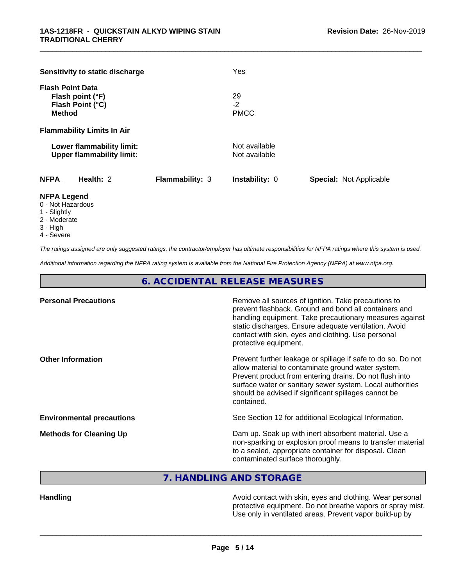| Sensitivity to static discharge                                                  |                 | Yes                            |                                |
|----------------------------------------------------------------------------------|-----------------|--------------------------------|--------------------------------|
| <b>Flash Point Data</b><br>Flash point (°F)<br>Flash Point (°C)<br><b>Method</b> |                 | 29<br>$-2$<br><b>PMCC</b>      |                                |
| <b>Flammability Limits In Air</b>                                                |                 |                                |                                |
| Lower flammability limit:<br><b>Upper flammability limit:</b>                    |                 | Not available<br>Not available |                                |
| <b>NFPA</b><br>Health: 2                                                         | Flammability: 3 | <b>Instability: 0</b>          | <b>Special: Not Applicable</b> |
| <b>NIEDA LANAHA</b>                                                              |                 |                                |                                |

#### **NFPA Legend**

- 0 Not Hazardous
- 1 Slightly
- 2 Moderate
- 3 High
- 4 Severe

*The ratings assigned are only suggested ratings, the contractor/employer has ultimate responsibilities for NFPA ratings where this system is used.*

*Additional information regarding the NFPA rating system is available from the National Fire Protection Agency (NFPA) at www.nfpa.org.*

**6. ACCIDENTAL RELEASE MEASURES**

| Remove all sources of ignition. Take precautions to<br>prevent flashback. Ground and bond all containers and<br>handling equipment. Take precautionary measures against<br>static discharges. Ensure adequate ventilation. Avoid<br>contact with skin, eyes and clothing. Use personal<br>protective equipment.  |
|------------------------------------------------------------------------------------------------------------------------------------------------------------------------------------------------------------------------------------------------------------------------------------------------------------------|
| Prevent further leakage or spillage if safe to do so. Do not<br>allow material to contaminate ground water system.<br>Prevent product from entering drains. Do not flush into<br>surface water or sanitary sewer system. Local authorities<br>should be advised if significant spillages cannot be<br>contained. |
| See Section 12 for additional Ecological Information.                                                                                                                                                                                                                                                            |
| Dam up. Soak up with inert absorbent material. Use a<br>non-sparking or explosion proof means to transfer material<br>to a sealed, appropriate container for disposal. Clean<br>contaminated surface thoroughly.                                                                                                 |
|                                                                                                                                                                                                                                                                                                                  |

**7. HANDLING AND STORAGE**

**Handling Handling Avoid contact with skin, eyes and clothing. Wear personal** protective equipment. Do not breathe vapors or spray mist. Use only in ventilated areas. Prevent vapor build-up by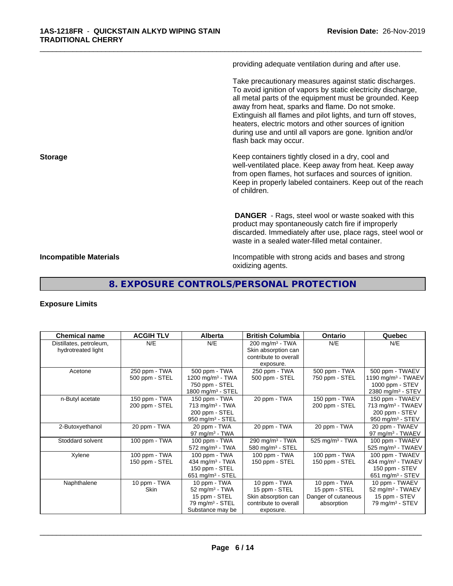providing adequate ventilation during and after use.

\_\_\_\_\_\_\_\_\_\_\_\_\_\_\_\_\_\_\_\_\_\_\_\_\_\_\_\_\_\_\_\_\_\_\_\_\_\_\_\_\_\_\_\_\_\_\_\_\_\_\_\_\_\_\_\_\_\_\_\_\_\_\_\_\_\_\_\_\_\_\_\_\_\_\_\_\_\_\_\_\_\_\_\_\_\_\_\_\_\_\_\_\_

Take precautionary measures against static discharges. To avoid ignition of vapors by static electricity discharge, all metal parts of the equipment must be grounded. Keep away from heat, sparks and flame. Do not smoke. Extinguish all flames and pilot lights, and turn off stoves, heaters, electric motors and other sources of ignition during use and until all vapors are gone. Ignition and/or flash back may occur.

**Storage Keep containers tightly closed in a dry, cool and get a dry and storage Keep containers tightly closed in a dry, cool and** well-ventilated place. Keep away from heat. Keep away from open flames, hot surfaces and sources of ignition. Keep in properly labeled containers. Keep out of the reach of children.

> **DANGER** - Rags, steel wool or waste soaked with this product may spontaneously catch fire if improperly discarded. Immediately after use, place rags, steel wool or waste in a sealed water-filled metal container.

**Incompatible Materials Incompatible with strong acids and bases and strong** oxidizing agents.

# **8. EXPOSURE CONTROLS/PERSONAL PROTECTION**

#### **Exposure Limits**

| <b>Chemical name</b>    | <b>ACGIH TLV</b> | Alberta                        | <b>British Columbia</b>       | <b>Ontario</b>              | Quebec                         |
|-------------------------|------------------|--------------------------------|-------------------------------|-----------------------------|--------------------------------|
| Distillates, petroleum, | N/E              | N/E                            | $200$ mg/m <sup>3</sup> - TWA | N/E                         | N/E                            |
| hydrotreated light      |                  |                                | Skin absorption can           |                             |                                |
|                         |                  |                                | contribute to overall         |                             |                                |
|                         |                  |                                | exposure.                     |                             |                                |
| Acetone                 | 250 ppm - TWA    | 500 ppm - TWA                  | 250 ppm - TWA                 | 500 ppm - TWA               | 500 ppm - TWAEV                |
|                         | 500 ppm - STEL   | 1200 mg/m $3$ - TWA            | 500 ppm - STEL                | 750 ppm - STEL              | 1190 mg/m <sup>3</sup> - TWAEV |
|                         |                  | 750 ppm - STEL                 |                               |                             | 1000 ppm - STEV                |
|                         |                  | 1800 mg/m $3 -$ STEL           |                               |                             | 2380 mg/m <sup>3</sup> - STEV  |
| n-Butyl acetate         | 150 ppm - TWA    | 150 ppm - TWA                  | 20 ppm - TWA                  | 150 ppm - TWA               | 150 ppm - TWAEV                |
|                         | 200 ppm - STEL   | $713$ mg/m <sup>3</sup> - TWA  |                               | 200 ppm - STEL              | 713 mg/m <sup>3</sup> - TWAEV  |
|                         |                  | 200 ppm - STEL                 |                               |                             | 200 ppm - STEV                 |
|                         |                  | $950$ mg/m <sup>3</sup> - STEL |                               |                             | 950 mg/m $3 -$ STEV            |
| 2-Butoxyethanol         | 20 ppm - TWA     | 20 ppm - TWA                   | 20 ppm - TWA                  | 20 ppm - TWA                | 20 ppm - TWAEV                 |
|                         |                  | 97 mg/m $3$ - TWA              |                               |                             | 97 mg/m $3$ - TWAEV            |
| Stoddard solvent        | 100 ppm - $TWA$  | 100 ppm - TWA                  | 290 mg/m <sup>3</sup> - TWA   | 525 mg/m <sup>3</sup> - TWA | 100 ppm - TWAEV                |
|                         |                  | $572$ mg/m <sup>3</sup> - TWA  | 580 mg/m $3 -$ STEL           |                             | 525 mg/m <sup>3</sup> - TWAEV  |
| Xylene                  | 100 ppm - TWA    | 100 ppm - TWA                  | 100 ppm - TWA                 | 100 ppm - TWA               | 100 ppm - TWAEV                |
|                         | 150 ppm - STEL   | 434 mg/m $3$ - TWA             | 150 ppm - STEL                | 150 ppm - STEL              | 434 mg/m <sup>3</sup> - TWAEV  |
|                         |                  | 150 ppm - STEL                 |                               |                             | 150 ppm - STEV                 |
|                         |                  | 651 mg/m $3 -$ STEL            |                               |                             | 651 mg/m <sup>3</sup> - STEV   |
| Naphthalene             | 10 ppm - TWA     | 10 ppm - TWA                   | 10 ppm - TWA                  | 10 ppm - TWA                | 10 ppm - TWAEV                 |
|                         | Skin             | 52 mg/m <sup>3</sup> - TWA     | 15 ppm - STEL                 | 15 ppm - STEL               | 52 mg/m $3$ - TWAEV            |
|                         |                  | 15 ppm - STEL                  | Skin absorption can           | Danger of cutaneous         | 15 ppm - STEV                  |
|                         |                  | 79 mg/m <sup>3</sup> - STEL    | contribute to overall         | absorption                  | 79 mg/m $3 -$ STEV             |
|                         |                  | Substance may be               | exposure.                     |                             |                                |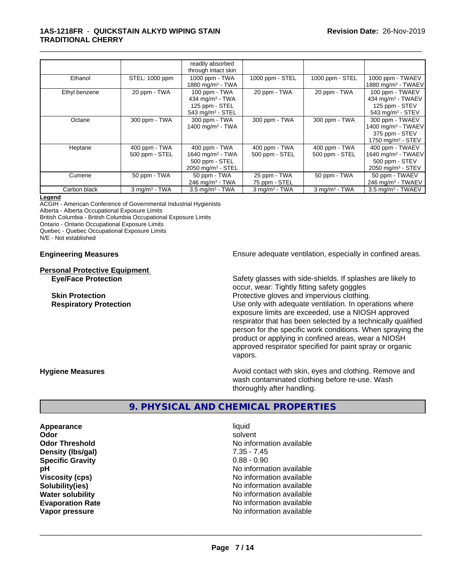#### **1AS-1218FR** - **QUICKSTAIN ALKYD WIPING STAIN TRADITIONAL CHERRY**

|               |                             | readily absorbed<br>through intact skin |                    |                    |                                |
|---------------|-----------------------------|-----------------------------------------|--------------------|--------------------|--------------------------------|
|               |                             |                                         |                    |                    |                                |
| Ethanol       | STEL: 1000 ppm              | 1000 ppm - TWA                          | 1000 ppm - STEL    | 1000 ppm - STEL    | 1000 ppm - TWAEV               |
|               |                             | 1880 mg/m <sup>3</sup> - TWA            |                    |                    | 1880 mg/m <sup>3</sup> - TWAEV |
| Ethyl benzene | 20 ppm - TWA                | 100 ppm - TWA                           | 20 ppm - TWA       | 20 ppm - TWA       | 100 ppm - TWAEV                |
|               |                             | 434 mg/m $3$ - TWA                      |                    |                    | 434 mg/m <sup>3</sup> - TWAEV  |
|               |                             | 125 ppm - STEL                          |                    |                    | 125 ppm - STEV                 |
|               |                             | 543 mg/m <sup>3</sup> - STEL            |                    |                    | 543 mg/m $3 -$ STEV            |
| Octane        | 300 ppm - TWA               | 300 ppm - TWA                           | 300 ppm - TWA      | 300 ppm - TWA      | 300 ppm - TWAEV                |
|               |                             | 1400 mg/m $3 - TWA$                     |                    |                    | 1400 mg/m <sup>3</sup> - TWAEV |
|               |                             |                                         |                    |                    | 375 ppm - STEV                 |
|               |                             |                                         |                    |                    |                                |
|               |                             |                                         |                    |                    | 1750 mg/m $3 -$ STEV           |
| Heptane       | 400 ppm - TWA               | 400 ppm - TWA                           | 400 ppm - TWA      | 400 ppm - TWA      | 400 ppm - TWAEV                |
|               | 500 ppm - STEL              | 1640 mg/m <sup>3</sup> - TWA            | 500 ppm - STEL     | 500 ppm - STEL     | 1640 mg/m <sup>3</sup> - TWAEV |
|               |                             | 500 ppm - STEL                          |                    |                    | 500 ppm - STEV                 |
|               |                             | $2050$ mg/m <sup>3</sup> - STEL         |                    |                    | 2050 mg/m $3 -$ STEV           |
| Cumene        | 50 ppm - TWA                | 50 ppm - TWA                            | 25 ppm - TWA       | 50 ppm - TWA       | 50 ppm - TWAEV                 |
|               |                             | $246$ mg/m <sup>3</sup> - TWA           | 75 ppm - STEL      |                    | 246 mg/m <sup>3</sup> - TWAEV  |
| Carbon black  | $3$ mg/m <sup>3</sup> - TWA | $3.5 \text{ mg/m}^3$ - TWA              | $3$ mg/m $3$ - TWA | $3$ mg/m $3$ - TWA | 3.5 mg/m <sup>3</sup> - TWAEV  |

\_\_\_\_\_\_\_\_\_\_\_\_\_\_\_\_\_\_\_\_\_\_\_\_\_\_\_\_\_\_\_\_\_\_\_\_\_\_\_\_\_\_\_\_\_\_\_\_\_\_\_\_\_\_\_\_\_\_\_\_\_\_\_\_\_\_\_\_\_\_\_\_\_\_\_\_\_\_\_\_\_\_\_\_\_\_\_\_\_\_\_\_\_

#### **Legend**

ACGIH - American Conference of Governmental Industrial Hygienists Alberta - Alberta Occupational Exposure Limits British Columbia - British Columbia Occupational Exposure Limits

Ontario - Ontario Occupational Exposure Limits

Quebec - Quebec Occupational Exposure Limits

N/E - Not established

# **Personal Protective Equipment**

**Engineering Measures Ensure adequate ventilation, especially in confined areas.** 

**Eye/Face Protection** Safety glasses with side-shields. If splashes are likely to occur, wear: Tightly fitting safety goggles **Skin Protection Protection Protective gloves and impervious clothing. Respiratory Protection Number 1** (Use only with adequate ventilation. In operations where exposure limits are exceeded, use a NIOSH approved respirator that has been selected by a technically qualified person for the specific work conditions. When spraying the product or applying in confined areas, wear a NIOSH approved respirator specified for paint spray or organic vapors.

**Hygiene Measures Avoid contact with skin, eyes and clothing. Remove and Avoid contact with skin, eyes and clothing. Remove and** wash contaminated clothing before re-use. Wash thoroughly after handling.

# **9. PHYSICAL AND CHEMICAL PROPERTIES**

**Appearance** liquid and **a liquid liquid liquid** and **a liquid** solvent **Odor** solvent **Density (lbs/gal)** 7.35 - 7.45<br> **Specific Gravity** 6.88 - 0.90 **Specific Gravity** 

**Odor Threshold No information available No information available pH** No information available **Viscosity (cps)** No information available **Solubility(ies)** No information available **Water solubility** No information available **Evaporation Rate No information available No information available Vapor pressure** No information available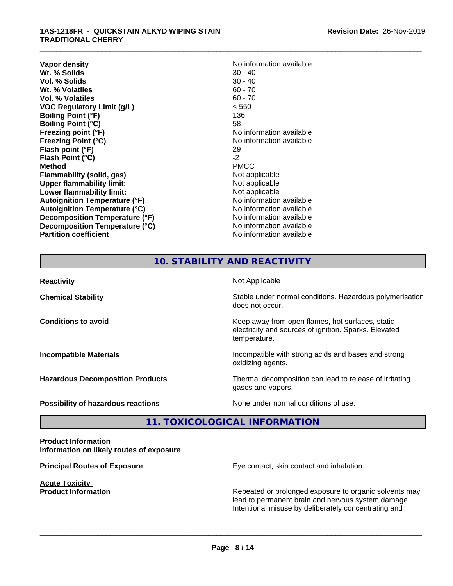#### **1AS-1218FR** - **QUICKSTAIN ALKYD WIPING STAIN TRADITIONAL CHERRY**

**Vapor density**<br> **We Solids**<br>
We Solids
20 - 40 **Wt. % Solids** 30 - 40<br> **Vol. % Solids** 30 - 40 **Vol. % Solids** 30 - 40<br> **Wt. % Volatiles** 60 - 70 **Wt. % Volatiles Vol. % Volatiles** 60 - 70 **VOC Regulatory Limit (g/L)** < 550 **Boiling Point (°F)** 136 **Boiling Point (°C)** 58 **Freezing point (°F)** The state of the state of the No information available **Freezing Point (°C)** and **COV** No information available **Flash point (°F)** 29 **Flash Point (°C)** -2 **Method** PMCC **Flammability (solid, gas)**<br> **Upper flammability limit:**<br>
Upper flammability limit:<br>  $\begin{array}{ccc}\n\bullet & \bullet & \bullet \\
\bullet & \bullet & \bullet\n\end{array}$ **Upper flammability limit: Lower flammability limit:**<br> **Autoignition Temperature (°F)** Not applicable available and the Mustafable and Mustafable and Mustafable and Mu **Autoignition Temperature (°F) Autoignition Temperature (°C)** No information available **Decomposition Temperature (°F)** No information available **Decomposition Temperature (°C)** No information available **Partition coefficient** No information available

\_\_\_\_\_\_\_\_\_\_\_\_\_\_\_\_\_\_\_\_\_\_\_\_\_\_\_\_\_\_\_\_\_\_\_\_\_\_\_\_\_\_\_\_\_\_\_\_\_\_\_\_\_\_\_\_\_\_\_\_\_\_\_\_\_\_\_\_\_\_\_\_\_\_\_\_\_\_\_\_\_\_\_\_\_\_\_\_\_\_\_\_\_

# **10. STABILITY AND REACTIVITY**

| <b>Reactivity</b>                         | Not Applicable                                                                                                            |
|-------------------------------------------|---------------------------------------------------------------------------------------------------------------------------|
| <b>Chemical Stability</b>                 | Stable under normal conditions. Hazardous polymerisation<br>does not occur.                                               |
| <b>Conditions to avoid</b>                | Keep away from open flames, hot surfaces, static<br>electricity and sources of ignition. Sparks. Elevated<br>temperature. |
| <b>Incompatible Materials</b>             | Incompatible with strong acids and bases and strong<br>oxidizing agents.                                                  |
| <b>Hazardous Decomposition Products</b>   | Thermal decomposition can lead to release of irritating<br>gases and vapors.                                              |
| <b>Possibility of hazardous reactions</b> | None under normal conditions of use.                                                                                      |

# **11. TOXICOLOGICAL INFORMATION**

#### **Product Information Information on likely routes of exposure**

**Acute Toxicity** 

**Principal Routes of Exposure Exposure** Eye contact, skin contact and inhalation.

**Product Information Repeated or prolonged exposure to organic solvents may** Repeated or prolonged exposure to organic solvents may lead to permanent brain and nervous system damage. Intentional misuse by deliberately concentrating and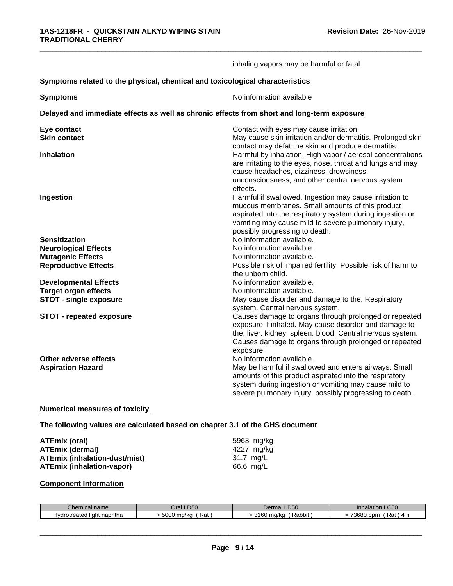|                                                                                            | inhaling vapors may be harmful or fatal.                                                                                                                                                                                                                                              |
|--------------------------------------------------------------------------------------------|---------------------------------------------------------------------------------------------------------------------------------------------------------------------------------------------------------------------------------------------------------------------------------------|
| Symptoms related to the physical, chemical and toxicological characteristics               |                                                                                                                                                                                                                                                                                       |
| <b>Symptoms</b>                                                                            | No information available                                                                                                                                                                                                                                                              |
| Delayed and immediate effects as well as chronic effects from short and long-term exposure |                                                                                                                                                                                                                                                                                       |
| Eye contact<br><b>Skin contact</b>                                                         | Contact with eyes may cause irritation.<br>May cause skin irritation and/or dermatitis. Prolonged skin<br>contact may defat the skin and produce dermatitis.                                                                                                                          |
| <b>Inhalation</b>                                                                          | Harmful by inhalation. High vapor / aerosol concentrations<br>are irritating to the eyes, nose, throat and lungs and may<br>cause headaches, dizziness, drowsiness,<br>unconsciousness, and other central nervous system<br>effects.                                                  |
| Ingestion                                                                                  | Harmful if swallowed. Ingestion may cause irritation to<br>mucous membranes. Small amounts of this product<br>aspirated into the respiratory system during ingestion or<br>vomiting may cause mild to severe pulmonary injury,<br>possibly progressing to death.                      |
| <b>Sensitization</b>                                                                       | No information available.                                                                                                                                                                                                                                                             |
| <b>Neurological Effects</b>                                                                | No information available.                                                                                                                                                                                                                                                             |
| <b>Mutagenic Effects</b>                                                                   | No information available.                                                                                                                                                                                                                                                             |
| <b>Reproductive Effects</b>                                                                | Possible risk of impaired fertility. Possible risk of harm to<br>the unborn child.                                                                                                                                                                                                    |
| <b>Developmental Effects</b>                                                               | No information available.                                                                                                                                                                                                                                                             |
| <b>Target organ effects</b>                                                                | No information available.                                                                                                                                                                                                                                                             |
| <b>STOT - single exposure</b>                                                              | May cause disorder and damage to the. Respiratory                                                                                                                                                                                                                                     |
| <b>STOT - repeated exposure</b>                                                            | system. Central nervous system.<br>Causes damage to organs through prolonged or repeated<br>exposure if inhaled. May cause disorder and damage to<br>the. liver. kidney. spleen. blood. Central nervous system.<br>Causes damage to organs through prolonged or repeated<br>exposure. |
| Other adverse effects<br><b>Aspiration Hazard</b>                                          | No information available.<br>May be harmful if swallowed and enters airways. Small<br>amounts of this product aspirated into the respiratory<br>system during ingestion or vomiting may cause mild to<br>severe pulmonary injury, possibly progressing to death.                      |

#### **Numerical measures of toxicity**

**The following values are calculated based on chapter 3.1 of the GHS document**

| ATEmix (oral)                 | 5963 mg/kg |
|-------------------------------|------------|
| <b>ATEmix (dermal)</b>        | 4227 mg/ka |
| ATEmix (inhalation-dust/mist) | 31.7 mg/L  |
| ATEmix (inhalation-vapor)     | 66.6 mg/L  |

## **Component Information**

| $\sim$                                                    | D50                  | $- - -$                                      | Inhalation LC50                                  |
|-----------------------------------------------------------|----------------------|----------------------------------------------|--------------------------------------------------|
| Chemical name                                             | )ral                 | Dermal LD50                                  |                                                  |
| $\cdots$<br><sup>+</sup> naphtha<br>Hydrotreated<br>liaht | 5000<br>Rai<br>ma/ko | $\sim$ . $\sim$<br>Rabbit<br>ma/ka<br>uu<br> | 70000<br>ppm<br>Rat<br>$\overline{ }$<br>=<br>יי |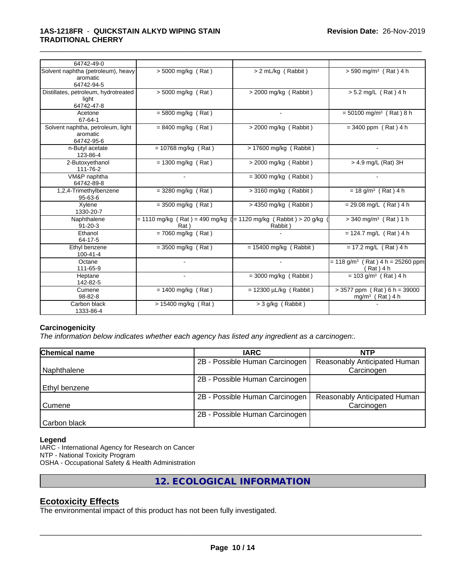| 64742-49-0                                                   |                       |                                                                             |                                                             |
|--------------------------------------------------------------|-----------------------|-----------------------------------------------------------------------------|-------------------------------------------------------------|
| Solvent naphtha (petroleum), heavy<br>aromatic<br>64742-94-5 | > 5000 mg/kg (Rat)    | > 2 mL/kg (Rabbit)                                                          | $> 590$ mg/m <sup>3</sup> (Rat) 4 h                         |
| Distillates, petroleum, hydrotreated<br>light<br>64742-47-8  | > 5000 mg/kg (Rat)    | > 2000 mg/kg (Rabbit)                                                       | > 5.2 mg/L (Rat) 4 h                                        |
| Acetone<br>67-64-1                                           | $= 5800$ mg/kg (Rat)  |                                                                             | $= 50100$ mg/m <sup>3</sup> (Rat) 8 h                       |
| Solvent naphtha, petroleum, light<br>aromatic<br>64742-95-6  | $= 8400$ mg/kg (Rat)  | $>$ 2000 mg/kg (Rabbit)                                                     | $= 3400$ ppm (Rat) 4 h                                      |
| n-Butyl acetate<br>123-86-4                                  | $= 10768$ mg/kg (Rat) | $> 17600$ mg/kg (Rabbit)                                                    | $\sim$                                                      |
| 2-Butoxyethanol<br>111-76-2                                  | $= 1300$ mg/kg (Rat)  | $>$ 2000 mg/kg (Rabbit)                                                     | > 4.9 mg/L (Rat) 3H                                         |
| VM&P naphtha<br>64742-89-8                                   | $\sim$                | $=$ 3000 mg/kg (Rabbit)                                                     |                                                             |
| 1,2,4-Trimethylbenzene<br>$95 - 63 - 6$                      | $=$ 3280 mg/kg (Rat)  | > 3160 mg/kg (Rabbit)                                                       | $= 18$ g/m <sup>3</sup> (Rat) 4 h                           |
| Xylene<br>1330-20-7                                          | $= 3500$ mg/kg (Rat)  | $>$ 4350 mg/kg (Rabbit)                                                     | $= 29.08$ mg/L (Rat) 4 h                                    |
| Naphthalene<br>$91 - 20 - 3$                                 | Rat)                  | = 1110 mg/kg (Rat) = 490 mg/kg ( = 1120 mg/kg (Rabbit) > 20 g/kg<br>Rabbit) | $>$ 340 mg/m <sup>3</sup> (Rat) 1 h                         |
| Ethanol<br>64-17-5                                           | $= 7060$ mg/kg (Rat)  |                                                                             | $= 124.7$ mg/L (Rat) 4 h                                    |
| Ethyl benzene<br>100-41-4                                    | $=$ 3500 mg/kg (Rat)  | $= 15400$ mg/kg (Rabbit)                                                    | $= 17.2$ mg/L (Rat) 4 h                                     |
| Octane<br>111-65-9                                           |                       |                                                                             | $= 118$ g/m <sup>3</sup> (Rat) 4 h = 25260 ppm<br>(Rat) 4 h |
| Heptane<br>142-82-5                                          |                       | $=$ 3000 mg/kg (Rabbit)                                                     | $= 103$ g/m <sup>3</sup> (Rat) 4 h                          |
| Cumene<br>98-82-8                                            | $= 1400$ mg/kg (Rat)  | $= 12300 \mu L/kg$ (Rabbit)                                                 | $> 3577$ ppm (Rat) 6 h = 39000<br>$mg/m3$ (Rat) 4 h         |
| Carbon black<br>1333-86-4                                    | > 15400 mg/kg (Rat)   | $>$ 3 g/kg (Rabbit)                                                         |                                                             |

### **Carcinogenicity**

*The information below indicateswhether each agency has listed any ingredient as a carcinogen:.*

| Chemical name | <b>IARC</b>                    | <b>NTP</b>                   |
|---------------|--------------------------------|------------------------------|
|               | 2B - Possible Human Carcinogen | Reasonably Anticipated Human |
| Naphthalene   |                                | Carcinogen                   |
|               | 2B - Possible Human Carcinogen |                              |
| Ethyl benzene |                                |                              |
|               | 2B - Possible Human Carcinogen | Reasonably Anticipated Human |
| Cumene        |                                | Carcinogen                   |
|               | 2B - Possible Human Carcinogen |                              |
| Carbon black  |                                |                              |

#### **Legend**

IARC - International Agency for Research on Cancer NTP - National Toxicity Program OSHA - Occupational Safety & Health Administration

**12. ECOLOGICAL INFORMATION**

### **Ecotoxicity Effects**

The environmental impact of this product has not been fully investigated.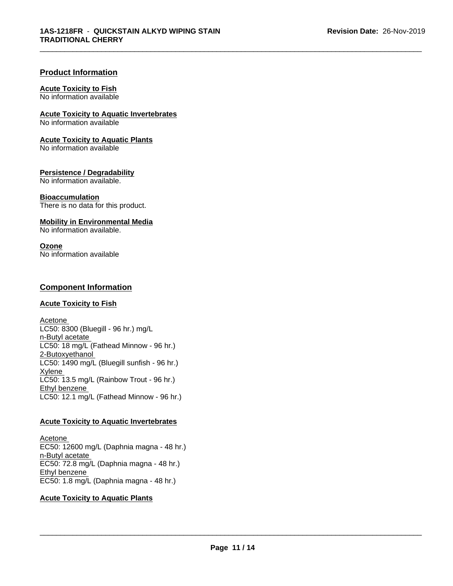#### **Product Information**

#### **Acute Toxicity to Fish**

No information available

## **Acute Toxicity to Aquatic Invertebrates**

No information available

#### **Acute Toxicity to Aquatic Plants**

No information available

#### **Persistence / Degradability**

No information available.

#### **Bioaccumulation**

There is no data for this product.

#### **Mobility in Environmental Media**

No information available.

#### **Ozone**

No information available

#### **Component Information**

#### **Acute Toxicity to Fish**

Acetone LC50: 8300 (Bluegill - 96 hr.) mg/L n-Butyl acetate LC50: 18 mg/L (Fathead Minnow - 96 hr.) 2-Butoxyethanol  $LC50: 1490$  mg/L (Bluegill sunfish - 96 hr.) **Xylene** LC50: 13.5 mg/L (Rainbow Trout - 96 hr.) Ethyl benzene LC50: 12.1 mg/L (Fathead Minnow - 96 hr.)

#### **Acute Toxicity to Aquatic Invertebrates**

Acetone EC50: 12600 mg/L (Daphnia magna - 48 hr.) n-Butyl acetate EC50: 72.8 mg/L (Daphnia magna - 48 hr.) Ethyl benzene EC50: 1.8 mg/L (Daphnia magna - 48 hr.)

#### **Acute Toxicity to Aquatic Plants**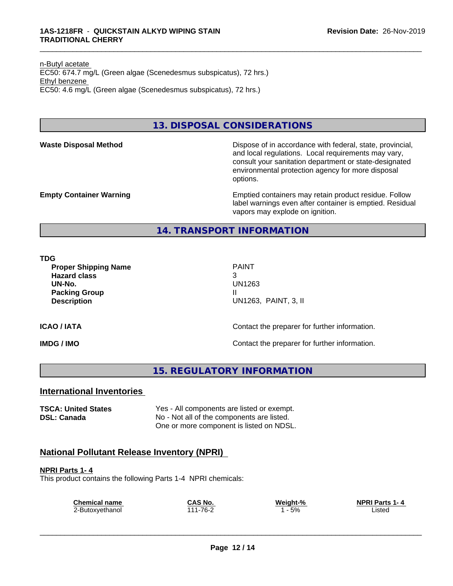n-Butyl acetate EC50: 674.7 mg/L (Green algae (Scenedesmus subspicatus), 72 hrs.) Ethyl benzene EC50: 4.6 mg/L (Green algae (Scenedesmus subspicatus), 72 hrs.)

# **13. DISPOSAL CONSIDERATIONS**

**Waste Disposal Method** Dispose of in accordance with federal, state, provincial, and local regulations. Local requirements may vary, consult your sanitation department or state-designated environmental protection agency for more disposal options.

**Empty Container Warning <b>Emptied** Containers may retain product residue. Follow label warnings even after container is emptied. Residual vapors may explode on ignition.

**14. TRANSPORT INFORMATION**

**TDG**

**Proper Shipping Name** PAINT **Hazard class** 3 **UN-No.** UN1263 **Packing Group III Description** UN1263, PAINT, 3, II

#### **ICAO / IATA ICAO / IATA Contact the preparer for further information.**

**IMDG / IMO Contact the preparer for further information.** 

**15. REGULATORY INFORMATION**

## **International Inventories**

**TSCA: United States** Yes - All components are listed or exempt. **DSL: Canada** No - Not all of the components are listed. One or more component is listed on NDSL.

## **National Pollutant Release Inventory (NPRI)**

**NPRI Parts 1- 4** This product contains the following Parts 1-4 NPRI chemicals:

| <b>Chemical name</b> | CAS No.  | Weight-% | <b>NPRI Parts 1-4</b> |
|----------------------|----------|----------|-----------------------|
| 2-Butoxyethanol      | 111-76-2 | 5%       | _istec                |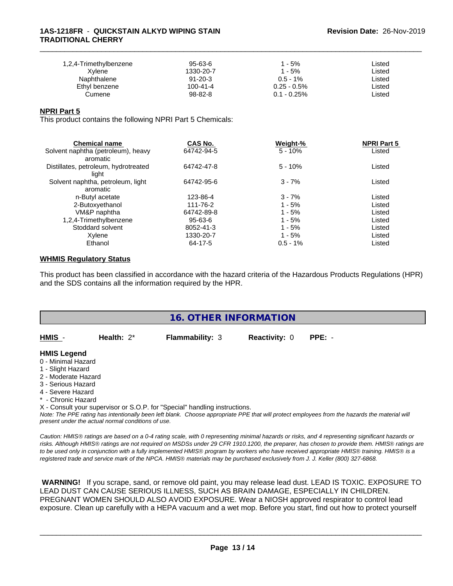#### **1AS-1218FR** - **QUICKSTAIN ALKYD WIPING STAIN TRADITIONAL CHERRY**

| 1,2,4-Trimethylbenzene | 95-63-6        | 1 - 5%         | ∟isted |  |
|------------------------|----------------|----------------|--------|--|
| Xvlene                 | 1330-20-7      | 1 - 5%         | ∟isted |  |
| Naphthalene            | $91 - 20 - 3$  | $0.5 - 1\%$    | ∟isted |  |
| Ethyl benzene          | $100 - 41 - 4$ | $0.25 - 0.5\%$ | ∟isted |  |
| Cumene                 | 98-82-8        | $0.1 - 0.25\%$ | ∟isted |  |

\_\_\_\_\_\_\_\_\_\_\_\_\_\_\_\_\_\_\_\_\_\_\_\_\_\_\_\_\_\_\_\_\_\_\_\_\_\_\_\_\_\_\_\_\_\_\_\_\_\_\_\_\_\_\_\_\_\_\_\_\_\_\_\_\_\_\_\_\_\_\_\_\_\_\_\_\_\_\_\_\_\_\_\_\_\_\_\_\_\_\_\_\_

#### **NPRI Part 5**

This product contains the following NPRI Part 5 Chemicals:

| <b>Chemical name</b>                 | CAS No.       | Weight-%    | <b>NPRI Part 5</b> |  |
|--------------------------------------|---------------|-------------|--------------------|--|
| Solvent naphtha (petroleum), heavy   | 64742-94-5    | $5 - 10%$   | Listed             |  |
| aromatic                             |               |             |                    |  |
| Distillates, petroleum, hydrotreated | 64742-47-8    | $5 - 10%$   | Listed             |  |
| light                                |               |             |                    |  |
| Solvent naphtha, petroleum, light    | 64742-95-6    | $3 - 7%$    | Listed             |  |
| aromatic                             |               |             |                    |  |
| n-Butyl acetate                      | 123-86-4      | $3 - 7%$    | Listed             |  |
| 2-Butoxyethanol                      | 111-76-2      | $1 - 5%$    | Listed             |  |
| VM&P naphtha                         | 64742-89-8    | $1 - 5%$    | Listed             |  |
| 1,2,4-Trimethylbenzene               | $95 - 63 - 6$ | $1 - 5%$    | Listed             |  |
| Stoddard solvent                     | 8052-41-3     | $1 - 5%$    | Listed             |  |
| Xylene                               | 1330-20-7     | $1 - 5%$    | Listed             |  |
| Ethanol                              | 64-17-5       | $0.5 - 1\%$ | Listed             |  |

#### **WHMIS Regulatory Status**

This product has been classified in accordance with the hazard criteria of the Hazardous Products Regulations (HPR) and the SDS contains all the information required by the HPR.

 **WARNING!** If you scrape, sand, or remove old paint, you may release lead dust. LEAD IS TOXIC. EXPOSURE TO LEAD DUST CAN CAUSE SERIOUS ILLNESS, SUCH AS BRAIN DAMAGE, ESPECIALLY IN CHILDREN. PREGNANT WOMEN SHOULD ALSO AVOID EXPOSURE. Wear a NIOSH approved respirator to control lead exposure. Clean up carefully with a HEPA vacuum and a wet mop. Before you start, find out how to protect yourself